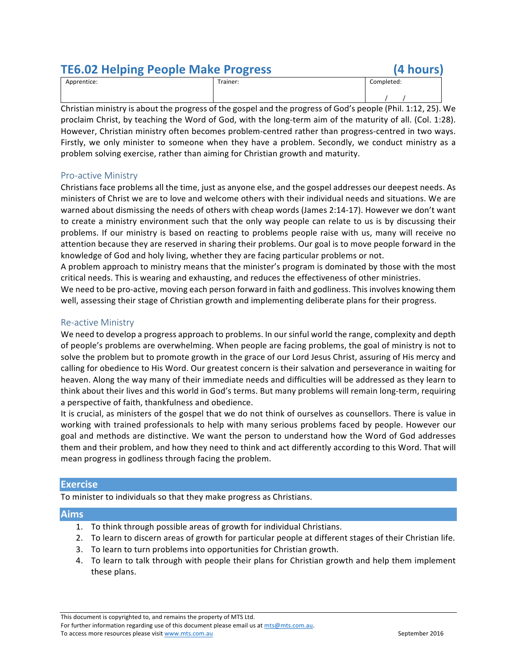## **TE6.02 Helping People Make Progress (4 hours)**

| Apprentice:                                                                                              |  |  | Trainer: |  | Completed: |  |  |
|----------------------------------------------------------------------------------------------------------|--|--|----------|--|------------|--|--|
|                                                                                                          |  |  |          |  |            |  |  |
| Christian ministry is obout the program of the good and the program of Cad's nearle (Dhil 1.12, 25), $V$ |  |  |          |  |            |  |  |

Christian ministry is about the progress of the gospel and the progress of God's people (Phil. 1:12, 25). We proclaim Christ, by teaching the Word of God, with the long-term aim of the maturity of all. (Col. 1:28). However, Christian ministry often becomes problem-centred rather than progress-centred in two ways. Firstly, we only minister to someone when they have a problem. Secondly, we conduct ministry as a problem solving exercise, rather than aiming for Christian growth and maturity.

## Pro-active Ministry

Christians face problems all the time, just as anyone else, and the gospel addresses our deepest needs. As ministers of Christ we are to love and welcome others with their individual needs and situations. We are warned about dismissing the needs of others with cheap words (James 2:14-17). However we don't want to create a ministry environment such that the only way people can relate to us is by discussing their problems. If our ministry is based on reacting to problems people raise with us, many will receive no attention because they are reserved in sharing their problems. Our goal is to move people forward in the knowledge of God and holy living, whether they are facing particular problems or not.

A problem approach to ministry means that the minister's program is dominated by those with the most critical needs. This is wearing and exhausting, and reduces the effectiveness of other ministries.

We need to be pro-active, moving each person forward in faith and godliness. This involves knowing them well, assessing their stage of Christian growth and implementing deliberate plans for their progress.

## Re-active Ministry

We need to develop a progress approach to problems. In our sinful world the range, complexity and depth of people's problems are overwhelming. When people are facing problems, the goal of ministry is not to solve the problem but to promote growth in the grace of our Lord Jesus Christ, assuring of His mercy and calling for obedience to His Word. Our greatest concern is their salvation and perseverance in waiting for heaven. Along the way many of their immediate needs and difficulties will be addressed as they learn to think about their lives and this world in God's terms. But many problems will remain long-term, requiring a perspective of faith, thankfulness and obedience.

It is crucial, as ministers of the gospel that we do not think of ourselves as counsellors. There is value in working with trained professionals to help with many serious problems faced by people. However our goal and methods are distinctive. We want the person to understand how the Word of God addresses them and their problem, and how they need to think and act differently according to this Word. That will mean progress in godliness through facing the problem.

## **Exercise**

To minister to individuals so that they make progress as Christians.

## **Aims**

- 1. To think through possible areas of growth for individual Christians.
- 2. To learn to discern areas of growth for particular people at different stages of their Christian life.
- 3. To learn to turn problems into opportunities for Christian growth.
- 4. To learn to talk through with people their plans for Christian growth and help them implement these plans.

For further information regarding use of this document please email us at mts@mts.com.au. To access more resources please visit www.mts.com.au September 2016

This document is copyrighted to, and remains the property of MTS Ltd.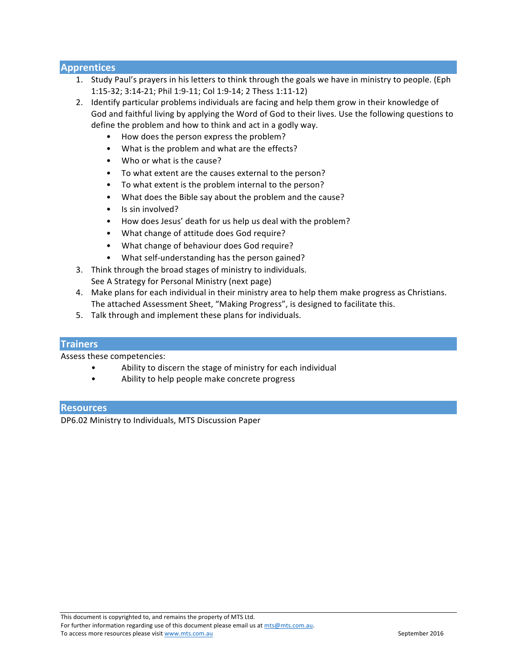## **Apprentices**

- 1. Study Paul's prayers in his letters to think through the goals we have in ministry to people. (Eph 1:15-32; 3:14-21; Phil 1:9-11; Col 1:9-14; 2 Thess 1:11-12)
- 2. Identify particular problems individuals are facing and help them grow in their knowledge of God and faithful living by applying the Word of God to their lives. Use the following questions to define the problem and how to think and act in a godly way.
	- How does the person express the problem?
	- What is the problem and what are the effects?
	- Who or what is the cause?
	- To what extent are the causes external to the person?
	- To what extent is the problem internal to the person?
	- What does the Bible say about the problem and the cause?
	- Is sin involved?
	- How does Jesus' death for us help us deal with the problem?
	- What change of attitude does God require?
	- What change of behaviour does God require?
	- What self-understanding has the person gained?
- 3. Think through the broad stages of ministry to individuals. See A Strategy for Personal Ministry (next page)
- 4. Make plans for each individual in their ministry area to help them make progress as Christians. The attached Assessment Sheet, "Making Progress", is designed to facilitate this.
- 5. Talk through and implement these plans for individuals.

## **Trainers**

Assess these competencies:

- Ability to discern the stage of ministry for each individual
- Ability to help people make concrete progress

## **Resources**

DP6.02 Ministry to Individuals, MTS Discussion Paper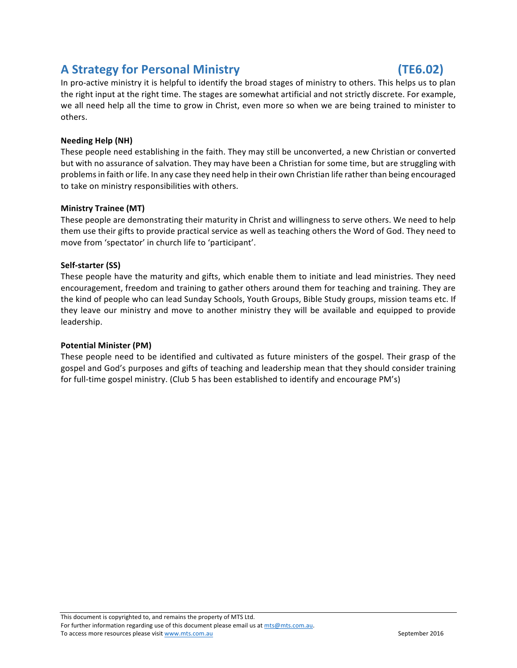## **A Strategy for Personal Ministry (TE6.02)**

In pro-active ministry it is helpful to identify the broad stages of ministry to others. This helps us to plan the right input at the right time. The stages are somewhat artificial and not strictly discrete. For example, we all need help all the time to grow in Christ, even more so when we are being trained to minister to others.

## **Needing Help (NH)**

These people need establishing in the faith. They may still be unconverted, a new Christian or converted but with no assurance of salvation. They may have been a Christian for some time, but are struggling with problems in faith or life. In any case they need help in their own Christian life rather than being encouraged to take on ministry responsibilities with others.

## **Ministry Trainee (MT)**

These people are demonstrating their maturity in Christ and willingness to serve others. We need to help them use their gifts to provide practical service as well as teaching others the Word of God. They need to move from 'spectator' in church life to 'participant'.

## Self-starter (SS)

These people have the maturity and gifts, which enable them to initiate and lead ministries. They need encouragement, freedom and training to gather others around them for teaching and training. They are the kind of people who can lead Sunday Schools, Youth Groups, Bible Study groups, mission teams etc. If they leave our ministry and move to another ministry they will be available and equipped to provide leadership.

### **Potential Minister (PM)**

These people need to be identified and cultivated as future ministers of the gospel. Their grasp of the gospel and God's purposes and gifts of teaching and leadership mean that they should consider training for full-time gospel ministry. (Club 5 has been established to identify and encourage PM's)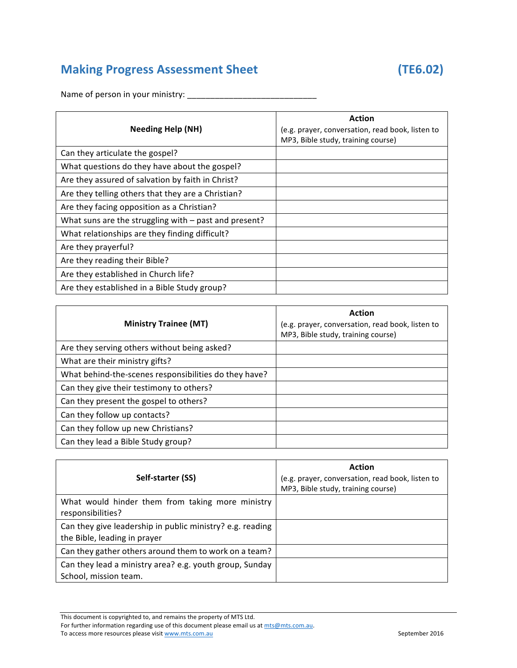# **Making Progress Assessment Sheet (TE6.02)**

Name of person in your ministry: \_\_\_\_\_\_\_\_\_\_\_\_\_\_\_\_\_\_\_\_\_\_\_\_\_\_\_\_

| <b>Needing Help (NH)</b>                                | Action<br>(e.g. prayer, conversation, read book, listen to<br>MP3, Bible study, training course) |
|---------------------------------------------------------|--------------------------------------------------------------------------------------------------|
| Can they articulate the gospel?                         |                                                                                                  |
| What questions do they have about the gospel?           |                                                                                                  |
| Are they assured of salvation by faith in Christ?       |                                                                                                  |
| Are they telling others that they are a Christian?      |                                                                                                  |
| Are they facing opposition as a Christian?              |                                                                                                  |
| What suns are the struggling with $-$ past and present? |                                                                                                  |
| What relationships are they finding difficult?          |                                                                                                  |
| Are they prayerful?                                     |                                                                                                  |
| Are they reading their Bible?                           |                                                                                                  |
| Are they established in Church life?                    |                                                                                                  |
| Are they established in a Bible Study group?            |                                                                                                  |

| <b>Ministry Trainee (MT)</b>                          | <b>Action</b><br>(e.g. prayer, conversation, read book, listen to<br>MP3, Bible study, training course) |
|-------------------------------------------------------|---------------------------------------------------------------------------------------------------------|
| Are they serving others without being asked?          |                                                                                                         |
| What are their ministry gifts?                        |                                                                                                         |
| What behind-the-scenes responsibilities do they have? |                                                                                                         |
| Can they give their testimony to others?              |                                                                                                         |
| Can they present the gospel to others?                |                                                                                                         |
| Can they follow up contacts?                          |                                                                                                         |
| Can they follow up new Christians?                    |                                                                                                         |
| Can they lead a Bible Study group?                    |                                                                                                         |

| Self-starter (SS)                                                                         | <b>Action</b><br>(e.g. prayer, conversation, read book, listen to<br>MP3, Bible study, training course) |
|-------------------------------------------------------------------------------------------|---------------------------------------------------------------------------------------------------------|
| What would hinder them from taking more ministry<br>responsibilities?                     |                                                                                                         |
| Can they give leadership in public ministry? e.g. reading<br>the Bible, leading in prayer |                                                                                                         |
| Can they gather others around them to work on a team?                                     |                                                                                                         |
| Can they lead a ministry area? e.g. youth group, Sunday<br>School, mission team.          |                                                                                                         |

This document is copyrighted to, and remains the property of MTS Ltd.

For further information regarding use of this document please email us at mts@mts.com.au. To access more resources please visit www.mts.com.au September 2016